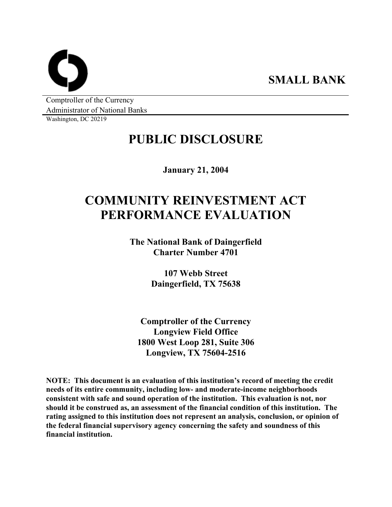**SMALL BANK** 

Comptroller of the Currency Administrator of National Banks

Washington, DC 20219

# **PUBLIC DISCLOSURE**

**January 21, 2004** 

# **COMMUNITY REINVESTMENT ACT PERFORMANCE EVALUATION**

**The National Bank of Daingerfield Charter Number 4701** 

> **107 Webb Street Daingerfield, TX 75638**

**Comptroller of the Currency Longview Field Office 1800 West Loop 281, Suite 306 Longview, TX 75604-2516** 

**NOTE: This document is an evaluation of this institution's record of meeting the credit needs of its entire community, including low- and moderate-income neighborhoods consistent with safe and sound operation of the institution. This evaluation is not, nor should it be construed as, an assessment of the financial condition of this institution. The rating assigned to this institution does not represent an analysis, conclusion, or opinion of the federal financial supervisory agency concerning the safety and soundness of this financial institution.**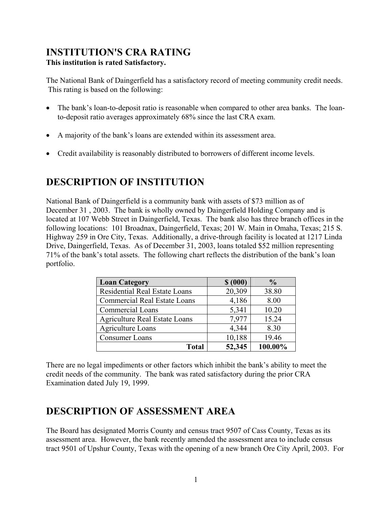### **INSTITUTION'S CRA RATING This institution is rated Satisfactory.**

The National Bank of Daingerfield has a satisfactory record of meeting community credit needs. This rating is based on the following:

- The bank's loan-to-deposit ratio is reasonable when compared to other area banks. The loanto-deposit ratio averages approximately 68% since the last CRA exam.
- A majority of the bank's loans are extended within its assessment area.
- Credit availability is reasonably distributed to borrowers of different income levels.

# **DESCRIPTION OF INSTITUTION**

National Bank of Daingerfield is a community bank with assets of \$73 million as of December 31 , 2003. The bank is wholly owned by Daingerfield Holding Company and is located at 107 Webb Street in Daingerfield, Texas. The bank also has three branch offices in the following locations: 101 Broadnax, Daingerfield, Texas; 201 W. Main in Omaha, Texas; 215 S. Highway 259 in Ore City, Texas. Additionally, a drive-through facility is located at 1217 Linda Drive, Daingerfield, Texas. As of December 31, 2003, loans totaled \$52 million representing 71% of the bank's total assets. The following chart reflects the distribution of the bank's loan portfolio.

| <b>Loan Category</b>                 | \$ (000) | $\frac{0}{0}$ |
|--------------------------------------|----------|---------------|
| Residential Real Estate Loans        | 20,309   | 38.80         |
| <b>Commercial Real Estate Loans</b>  | 4,186    | 8.00          |
| Commercial Loans                     | 5,341    | 10.20         |
| <b>Agriculture Real Estate Loans</b> | 7,977    | 15.24         |
| <b>Agriculture Loans</b>             | 4,344    | 8.30          |
| Consumer Loans                       | 10,188   | 19.46         |
| <b>Total</b>                         | 52,345   | 100.00%       |

There are no legal impediments or other factors which inhibit the bank's ability to meet the credit needs of the community. The bank was rated satisfactory during the prior CRA Examination dated July 19, 1999.

## **DESCRIPTION OF ASSESSMENT AREA**

The Board has designated Morris County and census tract 9507 of Cass County, Texas as its assessment area. However, the bank recently amended the assessment area to include census tract 9501 of Upshur County, Texas with the opening of a new branch Ore City April, 2003. For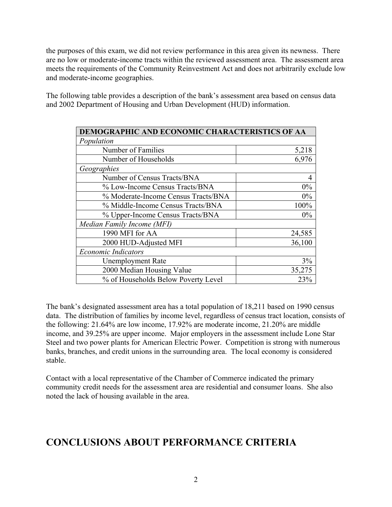the purposes of this exam, we did not review performance in this area given its newness. There are no low or moderate-income tracts within the reviewed assessment area. The assessment area meets the requirements of the Community Reinvestment Act and does not arbitrarily exclude low and moderate-income geographies.

The following table provides a description of the bank's assessment area based on census data and 2002 Department of Housing and Urban Development (HUD) information.

| DEMOGRAPHIC AND ECONOMIC CHARACTERISTICS OF AA |        |  |  |  |  |
|------------------------------------------------|--------|--|--|--|--|
| Population                                     |        |  |  |  |  |
| Number of Families                             | 5,218  |  |  |  |  |
| Number of Households                           | 6,976  |  |  |  |  |
| Geographies                                    |        |  |  |  |  |
| Number of Census Tracts/BNA                    | 4      |  |  |  |  |
| % Low-Income Census Tracts/BNA                 | 0%     |  |  |  |  |
| % Moderate-Income Census Tracts/BNA            | 0%     |  |  |  |  |
| % Middle-Income Census Tracts/BNA              | 100%   |  |  |  |  |
| % Upper-Income Census Tracts/BNA               | $0\%$  |  |  |  |  |
| Median Family Income (MFI)                     |        |  |  |  |  |
| 1990 MFI for AA                                | 24,585 |  |  |  |  |
| 2000 HUD-Adjusted MFI                          | 36,100 |  |  |  |  |
| <b>Economic Indicators</b>                     |        |  |  |  |  |
| <b>Unemployment Rate</b>                       | 3%     |  |  |  |  |
| 2000 Median Housing Value                      | 35,275 |  |  |  |  |
| % of Households Below Poverty Level            | 23%    |  |  |  |  |

The bank's designated assessment area has a total population of 18,211 based on 1990 census data. The distribution of families by income level, regardless of census tract location, consists of the following: 21.64% are low income, 17.92% are moderate income, 21.20% are middle income, and 39.25% are upper income. Major employers in the assessment include Lone Star Steel and two power plants for American Electric Power. Competition is strong with numerous banks, branches, and credit unions in the surrounding area. The local economy is considered stable.

Contact with a local representative of the Chamber of Commerce indicated the primary community credit needs for the assessment area are residential and consumer loans. She also noted the lack of housing available in the area.

## **CONCLUSIONS ABOUT PERFORMANCE CRITERIA**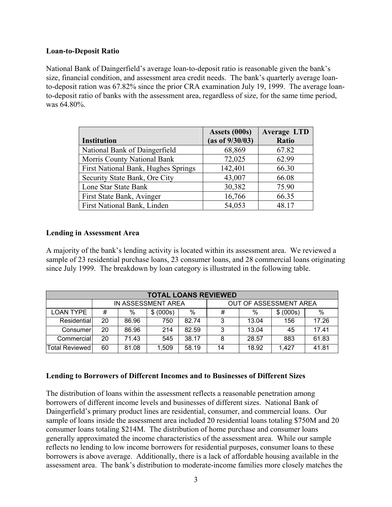#### **Loan-to-Deposit Ratio**

National Bank of Daingerfield's average loan-to-deposit ratio is reasonable given the bank's size, financial condition, and assessment area credit needs. The bank's quarterly average loanto-deposit ration was 67.82% since the prior CRA examination July 19, 1999. The average loanto-deposit ratio of banks with the assessment area, regardless of size, for the same time period, was 64.80%.

|                                     | Assets (000s)   | <b>Average LTD</b> |
|-------------------------------------|-----------------|--------------------|
| <b>Institution</b>                  | (as of 9/30/03) | Ratio              |
| National Bank of Daingerfield       | 68,869          | 67.82              |
| Morris County National Bank         | 72,025          | 62.99              |
| First National Bank, Hughes Springs | 142,401         | 66.30              |
| Security State Bank, Ore City       | 43,007          | 66.08              |
| Lone Star State Bank                | 30,382          | 75.90              |
| First State Bank, Avinger           | 16,766          | 66.35              |
| First National Bank, Linden         | 54,053          | 48.17              |

#### **Lending in Assessment Area**

A majority of the bank's lending activity is located within its assessment area. We reviewed a sample of 23 residential purchase loans, 23 consumer loans, and 28 commercial loans originating since July 1999. The breakdown by loan category is illustrated in the following table.

| <b>TOTAL LOANS REVIEWED</b> |                    |       |           |                        |    |       |           |       |
|-----------------------------|--------------------|-------|-----------|------------------------|----|-------|-----------|-------|
|                             | IN ASSESSMENT AREA |       |           | OUT OF ASSESSMENT AREA |    |       |           |       |
| LOAN TYPE                   | #                  | %     | \$ (000s) | $\%$                   | #  | %     | \$ (000s) | %     |
| Residential                 | 20                 | 86.96 | 750       | 82.74                  | ົ  | 13.04 | 156       | 17.26 |
| Consumer                    | 20                 | 86.96 | 214       | 82.59                  | ঽ  | 13.04 | 45        | 1741  |
| Commercial                  | 20                 | 71.43 | 545       | 38.17                  | 8  | 28.57 | 883       | 61.83 |
| Total Reviewed l            | 60                 | 81.08 | 1,509     | 58.19                  | 14 | 18.92 | 1.427     | 41.81 |

#### **Lending to Borrowers of Different Incomes and to Businesses of Different Sizes**

The distribution of loans within the assessment reflects a reasonable penetration among borrowers of different income levels and businesses of different sizes. National Bank of Daingerfield's primary product lines are residential, consumer, and commercial loans. Our sample of loans inside the assessment area included 20 residential loans totaling \$750M and 20 consumer loans totaling \$214M. The distribution of home purchase and consumer loans generally approximated the income characteristics of the assessment area. While our sample reflects no lending to low income borrowers for residential purposes, consumer loans to these borrowers is above average. Additionally, there is a lack of affordable housing available in the assessment area. The bank's distribution to moderate-income families more closely matches the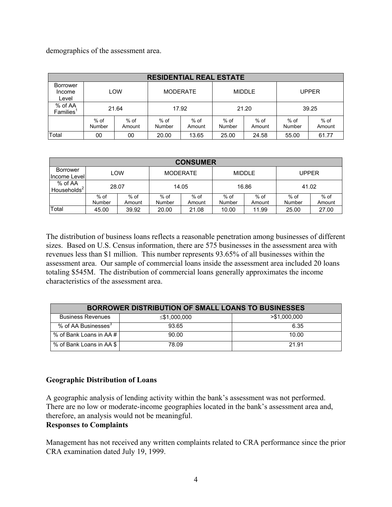demographics of the assessment area.

| <b>RESIDENTIAL REAL ESTATE</b>   |                  |                         |                  |                |                |                |                  |                  |
|----------------------------------|------------------|-------------------------|------------------|----------------|----------------|----------------|------------------|------------------|
| Borrower<br>Income<br>Level      |                  | LOW                     | <b>MODERATE</b>  |                | <b>MIDDLE</b>  |                | <b>UPPER</b>     |                  |
| % of AA<br>Families <sup>1</sup> |                  | 21.64<br>17.92<br>21.20 |                  |                |                | 39.25          |                  |                  |
|                                  | $%$ of<br>Number | $%$ of<br>Amount        | $%$ of<br>Number | % of<br>Amount | % of<br>Number | % of<br>Amount | $%$ of<br>Number | $%$ of<br>Amount |
| Total                            | 00               | 00                      | 20.00            | 13.65          | 25.00          | 24.58          | 55.00            | 61.77            |

| <b>CONSUMER</b>                    |                |                  |                  |                |                  |                  |                  |                |
|------------------------------------|----------------|------------------|------------------|----------------|------------------|------------------|------------------|----------------|
| Borrower<br>Income Level           |                | LOW              | MODERATE         |                | <b>MIDDLE</b>    |                  | <b>UPPER</b>     |                |
| % of AA<br>Households <sup>2</sup> |                | 28.07            | 14.05            |                | 16.86            |                  | 41.02            |                |
|                                    | % of<br>Number | $%$ of<br>Amount | $%$ of<br>Number | % of<br>Amount | $%$ of<br>Number | $%$ of<br>Amount | $%$ of<br>Number | % of<br>Amount |
| Total                              | 45.00          | 39.92            | 20.00            | 21.08          | 10.00            | 11.99            | 25.00            | 27.00          |

The distribution of business loans reflects a reasonable penetration among businesses of different sizes. Based on U.S. Census information, there are 575 businesses in the assessment area with revenues less than \$1 million. This number represents 93.65% of all businesses within the assessment area. Our sample of commercial loans inside the assessment area included 20 loans totaling \$545M. The distribution of commercial loans generally approximates the income characteristics of the assessment area.

| <b>BORROWER DISTRIBUTION OF SMALL LOANS TO BUSINESSES</b> |              |                 |  |  |  |  |
|-----------------------------------------------------------|--------------|-----------------|--|--|--|--|
| <b>Business Revenues</b>                                  | ≤\$1,000,000 | $>$ \$1,000,000 |  |  |  |  |
| % of AA Businesses <sup>3</sup>                           | 93.65        | 6.35            |  |  |  |  |
| % of Bank Loans in AA # I                                 | 90.00        | 10.00           |  |  |  |  |
| % of Bank Loans in AA \$                                  | 78.09        | 21.91           |  |  |  |  |

#### **Geographic Distribution of Loans**

A geographic analysis of lending activity within the bank's assessment was not performed. There are no low or moderate-income geographies located in the bank's assessment area and, therefore, an analysis would not be meaningful.

#### **Responses to Complaints**

Management has not received any written complaints related to CRA performance since the prior CRA examination dated July 19, 1999.